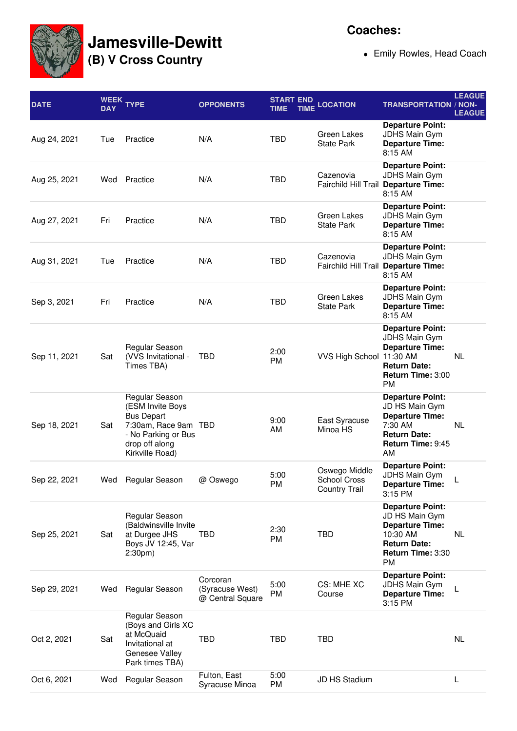

## **Jamesville-Dewitt**

**(B) V Cross Country**

Emily Rowles, Head Coach

| <b>DATE</b>  | WEEK <sub>T</sub><br><b>DAY</b> | <b>YPE</b>                                                                                                                                  | <b>OPPONENTS</b>                                | <b>START END</b><br>TIME | <b>TIME LOCATION</b>                                  | <b>TRANSPORTATION / NON-</b>                                                                                                             | <b>LEAGUE</b><br><b>LEAGUE</b> |
|--------------|---------------------------------|---------------------------------------------------------------------------------------------------------------------------------------------|-------------------------------------------------|--------------------------|-------------------------------------------------------|------------------------------------------------------------------------------------------------------------------------------------------|--------------------------------|
| Aug 24, 2021 | Tue                             | Practice                                                                                                                                    | N/A                                             | <b>TBD</b>               | Green Lakes<br><b>State Park</b>                      | <b>Departure Point:</b><br><b>JDHS Main Gym</b><br><b>Departure Time:</b><br>8:15 AM                                                     |                                |
| Aug 25, 2021 |                                 | Wed Practice                                                                                                                                | N/A                                             | <b>TBD</b>               | Cazenovia                                             | <b>Departure Point:</b><br><b>JDHS Main Gym</b><br>Fairchild Hill Trail Departure Time:<br>8:15 AM                                       |                                |
| Aug 27, 2021 | Fri                             | Practice                                                                                                                                    | N/A                                             | <b>TBD</b>               | Green Lakes<br><b>State Park</b>                      | <b>Departure Point:</b><br><b>JDHS Main Gym</b><br><b>Departure Time:</b><br>8:15 AM                                                     |                                |
| Aug 31, 2021 | Tue                             | Practice                                                                                                                                    | N/A                                             | <b>TBD</b>               | Cazenovia                                             | <b>Departure Point:</b><br>JDHS Main Gym<br>Fairchild Hill Trail Departure Time:<br>8:15 AM                                              |                                |
| Sep 3, 2021  | Fri                             | Practice                                                                                                                                    | N/A                                             | <b>TBD</b>               | Green Lakes<br><b>State Park</b>                      | <b>Departure Point:</b><br>JDHS Main Gym<br><b>Departure Time:</b><br>8:15 AM                                                            |                                |
| Sep 11, 2021 | Sat                             | Regular Season<br>(VVS Invitational -<br>Times TBA)                                                                                         | TBD                                             | 2:00<br><b>PM</b>        | VVS High School 11:30 AM                              | <b>Departure Point:</b><br><b>JDHS Main Gym</b><br><b>Departure Time:</b><br><b>Return Date:</b><br>Return Time: 3:00<br><b>PM</b>       | <b>NL</b>                      |
| Sep 18, 2021 | Sat                             | Regular Season<br>(ESM Invite Boys<br><b>Bus Depart</b><br>7:30am, Race 9am TBD<br>- No Parking or Bus<br>drop off along<br>Kirkville Road) |                                                 | 9:00<br>AM               | East Syracuse<br>Minoa HS                             | <b>Departure Point:</b><br>JD HS Main Gym<br><b>Departure Time:</b><br>7:30 AM<br><b>Return Date:</b><br>Return Time: 9:45<br>AM         | <b>NL</b>                      |
| Sep 22, 2021 | Wed                             | Regular Season                                                                                                                              | @ Oswego                                        | 5:00<br>PM               | Oswego Middle<br>School Cross<br><b>Country Trail</b> | <b>Departure Point:</b><br>JDHS Main Gym<br><b>Departure Time:</b><br>3:15 PM                                                            | L                              |
| Sep 25, 2021 | Sat                             | <b>Regular Season</b><br>(Baldwinsville Invite<br>at Durgee JHS<br>Boys JV 12:45, Var<br>2:30 <sub>pm</sub>                                 | TBD                                             | 2:30<br><b>PM</b>        | TBD                                                   | <b>Departure Point:</b><br>JD HS Main Gym<br><b>Departure Time:</b><br>10:30 AM<br><b>Return Date:</b><br>Return Time: 3:30<br><b>PM</b> | NL                             |
| Sep 29, 2021 | Wed                             | Regular Season                                                                                                                              | Corcoran<br>(Syracuse West)<br>@ Central Square | 5:00<br>PM               | CS: MHE XC<br>Course                                  | <b>Departure Point:</b><br>JDHS Main Gym<br><b>Departure Time:</b><br>3:15 PM                                                            | L                              |
| Oct 2, 2021  | Sat                             | Regular Season<br>(Boys and Girls XC<br>at McQuaid<br>Invitational at<br>Genesee Valley<br>Park times TBA)                                  | TBD                                             | TBD                      | <b>TBD</b>                                            |                                                                                                                                          | NL                             |
| Oct 6, 2021  | Wed                             | Regular Season                                                                                                                              | Fulton, East<br>Syracuse Minoa                  | 5:00<br>PM               | JD HS Stadium                                         |                                                                                                                                          | L                              |